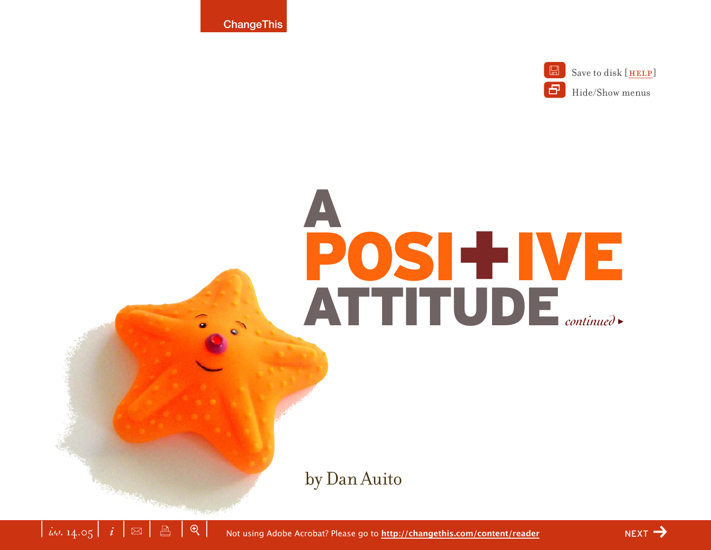

A POSI+IVE ATTITUDE *continued* >

by Dan Auito

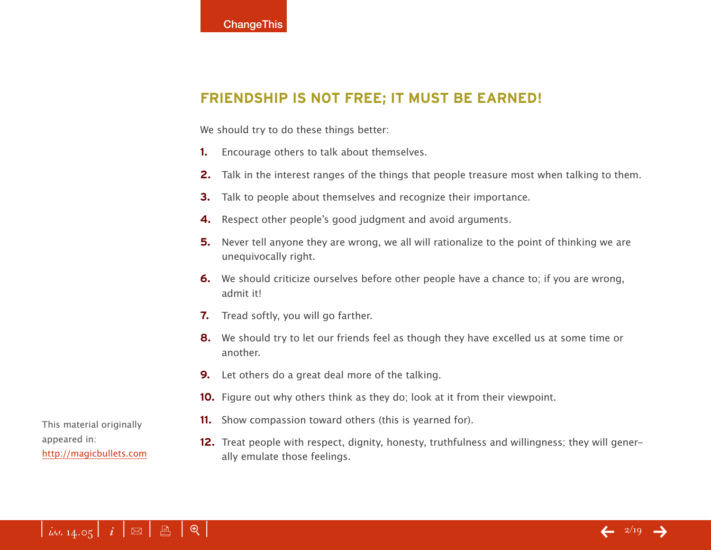# **FRIENDSHIP IS NOT FREE; IT MUST BE EARNED!**

We should try to do these things better:

- **1.** Encourage others to talk about themselves.
- **2.** Talk in the interest ranges of the things that people treasure most when talking to them.
- **3.** Talk to people about themselves and recognize their importance.
- **4.** Respect other people's good judgment and avoid arguments.
- **5.** Never tell anyone they are wrong, we all will rationalize to the point of thinking we are unequivocally right.
- **6.** We should criticize ourselves before other people have a chance to; if you are wrong, admit it!
- **7.** Tread softly, you will go farther.
- **8.** We should try to let our friends feel as though they have excelled us at some time or another.
- **9.** Let others do a great deal more of the talking.
- **10.** Figure out why others think as they do; look at it from their viewpoint.
- **11.** Show compassion toward others (this is yearned for).
- **12.** Treat people with respect, dignity, honesty, truthfulness and willingness; they will generally emulate those feelings.

This material originally appeared in: <http://magicbullets.com>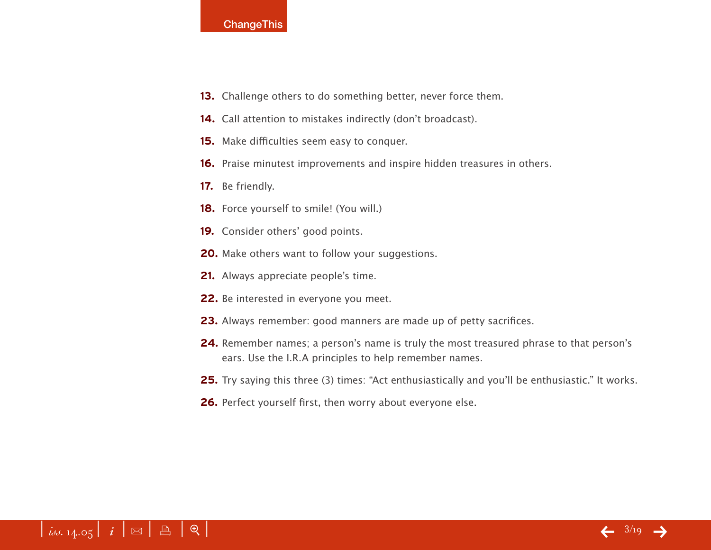- **13.** Challenge others to do something better, never force them.
- **14.** Call attention to mistakes indirectly (don't broadcast).
- **15.** Make difficulties seem easy to conquer.
- **16.** Praise minutest improvements and inspire hidden treasures in others.
- **17.** Be friendly.
- **18.** Force yourself to smile! (You will.)
- **19.** Consider others' good points.
- **20.** Make others want to follow your suggestions.
- **21.** Always appreciate people's time.
- **22.** Be interested in everyone you meet.
- **23.** Always remember: good manners are made up of petty sacrifices.
- **24.** Remember names; a person's name is truly the most treasured phrase to that person's ears. Use the I.R.A principles to help remember names.
- **25.** Try saying this three (3) times: "Act enthusiastically and you'll be enthusiastic." It works.
- **26.** Perfect yourself first, then worry about everyone else.

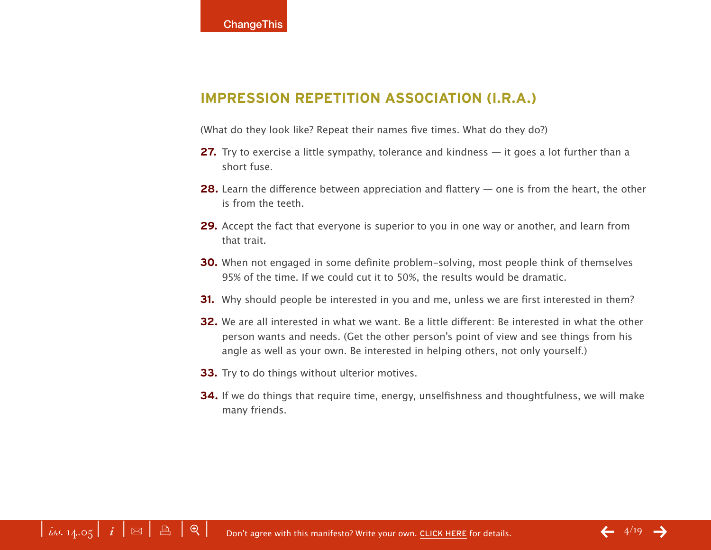## **IMPRESSION REPETITION ASSOCIATION (I.R.A.)**

(What do they look like? Repeat their names five times. What do they do?)

- **27.** Try to exercise a little sympathy, tolerance and kindness it goes a lot further than a short fuse.
- **28.** Learn the difference between appreciation and flattery one is from the heart, the other is from the teeth.
- **29.** Accept the fact that everyone is superior to you in one way or another, and learn from that trait.
- **30.** When not engaged in some definite problem-solving, most people think of themselves 95% of the time. If we could cut it to 50%, the results would be dramatic.
- **31.** Why should people be interested in you and me, unless we are first interested in them?
- **32.** We are all interested in what we want. Be a little different: Be interested in what the other person wants and needs. (Get the other person's point of view and see things from his angle as well as your own. Be interested in helping others, not only yourself.)
- **33.** Try to do things without ulterior motives.
- **34.** If we do things that require time, energy, unselfishness and thoughtfulness, we will make many friends.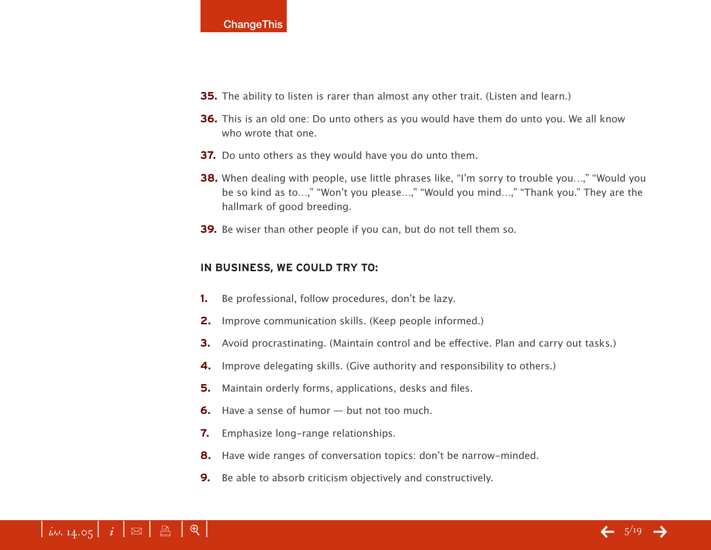- **35.** The ability to listen is rarer than almost any other trait. (Listen and learn.)
- **36.** This is an old one: Do unto others as you would have them do unto you. We all know who wrote that one.
- **37.** Do unto others as they would have you do unto them.
- **38.** When dealing with people, use little phrases like, "I'm sorry to trouble you...," "Would you be so kind as to…," "Won't you please…," "Would you mind…," "Thank you." They are the hallmark of good breeding.
- **39.** Be wiser than other people if you can, but do not tell them so.

### **IN BUSINESS, WE COULD TRY TO:**

- **1.** Be professional, follow procedures, don't be lazy.
- **2.** Improve communication skills. (Keep people informed.)
- **3.** Avoid procrastinating. (Maintain control and be effective. Plan and carry out tasks.)
- **4.** Improve delegating skills. (Give authority and responsibility to others.)
- **5.** Maintain orderly forms, applications, desks and files.
- **6.** Have a sense of humor but not too much.
- **7.** Emphasize long-range relationships.
- **8.** Have wide ranges of conversation topics: don't be narrow-minded.
- **9.** Be able to absorb criticism objectively and constructively.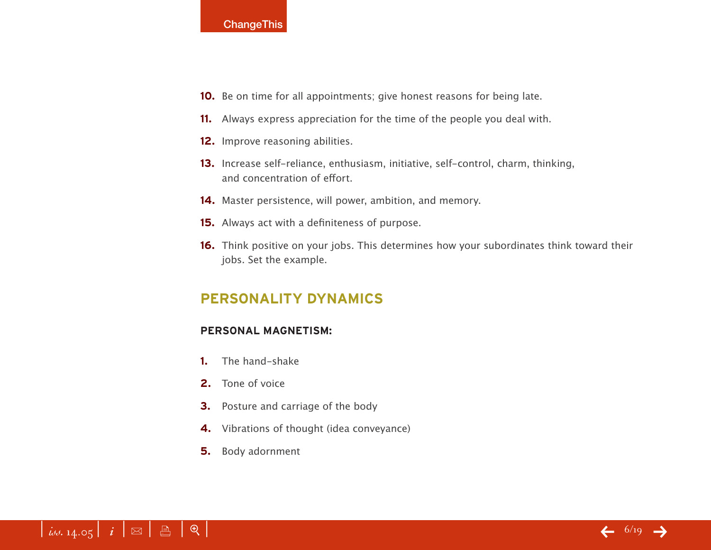- **10.** Be on time for all appointments; give honest reasons for being late.
- **11.** Always express appreciation for the time of the people you deal with.
- **12.** Improve reasoning abilities.
- **13.** Increase self-reliance, enthusiasm, initiative, self-control, charm, thinking, and concentration of effort.
- **14.** Master persistence, will power, ambition, and memory.
- **15.** Always act with a definiteness of purpose.
- **16.** Think positive on your jobs. This determines how your subordinates think toward their jobs. Set the example.

# **PERSONALITY DYNAMICS**

### **PERSONAL MAGNETISM:**

- **1.** The hand-shake
- **2.** Tone of voice
- **3.** Posture and carriage of the body
- **4.** Vibrations of thought (idea conveyance)
- **5.** Body adornment

# $\left| \begin{array}{c} i \ j \end{array} \right|$  i  $\left| \begin{array}{c} \mathbb{R} \end{array} \right|$   $\oplus$   $\left| \begin{array}{c} \mathbb{R} \end{array} \right|$

 $\leftarrow$  6/19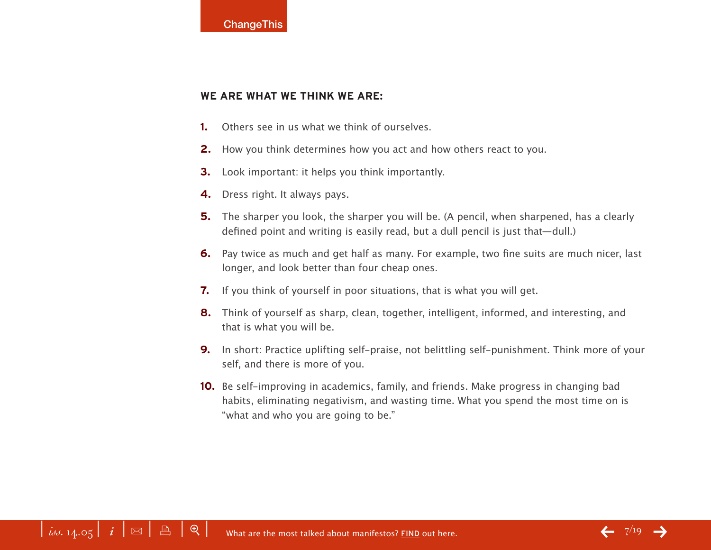#### **WE ARE WHAT WE THINK WE ARE:**

- **1.** Others see in us what we think of ourselves.
- **2.** How you think determines how you act and how others react to you.
- **3.** Look important: it helps you think importantly.
- **4.** Dress right. It always pays.
- **5.** The sharper you look, the sharper you will be. (A pencil, when sharpened, has a clearly defined point and writing is easily read, but a dull pencil is just that—dull.)
- **6.** Pay twice as much and get half as many. For example, two fine suits are much nicer, last longer, and look better than four cheap ones.
- **7.** If you think of yourself in poor situations, that is what you will get.
- **8.** Think of yourself as sharp, clean, together, intelligent, informed, and interesting, and that is what you will be.
- **9.** In short: Practice uplifting self-praise, not belittling self-punishment. Think more of your self, and there is more of you.
- **10.** Be self-improving in academics, family, and friends. Make progress in changing bad habits, eliminating negativism, and wasting time. What you spend the most time on is "what and who you are going to be."

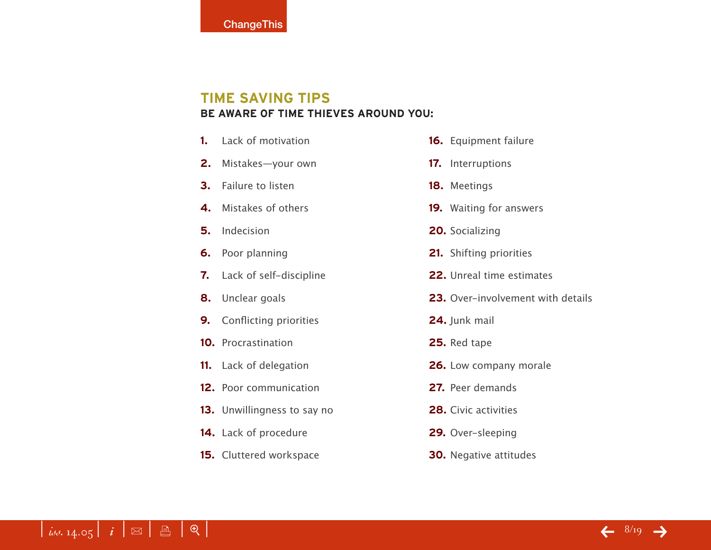# **TIME SAVING TIPS BE AWARE OF TIME THIEVES AROUND YOU:**

- **1.** Lack of motivation
- **2.** Mistakes—your own
- **3.** Failure to listen
- **4.** Mistakes of others
- **5.** Indecision
- **6.** Poor planning
- **7.** Lack of self-discipline
- **8.** Unclear goals
- **9.** Conflicting priorities
- **10.** Procrastination
- **11.** Lack of delegation
- **12.** Poor communication
- **13.** Unwillingness to say no
- **14.** Lack of procedure
- **15.** Cluttered workspace
- **16.** Equipment failure
- **17.** Interruptions
- **18.** Meetings
- **19.** Waiting for answers
- **20.** Socializing
- **21.** Shifting priorities
- **22.** Unreal time estimates
- **23.** Over-involvement with details
- **24.** Junk mail
- **25.** Red tape
- **26.** Low company morale
- **27.** Peer demands
- **28.** Civic activities
- **29.** Over-sleeping
- **30.** Negative attitudes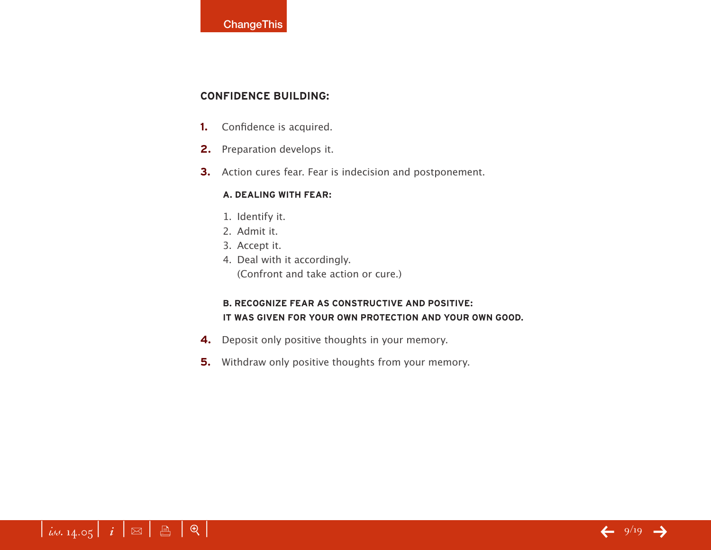### **CONFIDENCE BUILDING:**

- **1.** Confidence is acquired.
- **2.** Preparation develops it.
- **3.** Action cures fear. Fear is indecision and postponement.

#### **A. DEALING WITH FEAR:**

- 1. Identify it.
- 2. Admit it.
- 3. Accept it.
- 4. Deal with it accordingly. (Confront and take action or cure.)

### **B. RECOGNIZE FEAR AS CONSTRUCTIVE AND POSITIVE: IT WAS GIVEN FOR YOUR OWN PROTECTION AND YOUR OWN GOOD.**

- **4.** Deposit only positive thoughts in your memory.
- **5.** Withdraw only positive thoughts from your memory.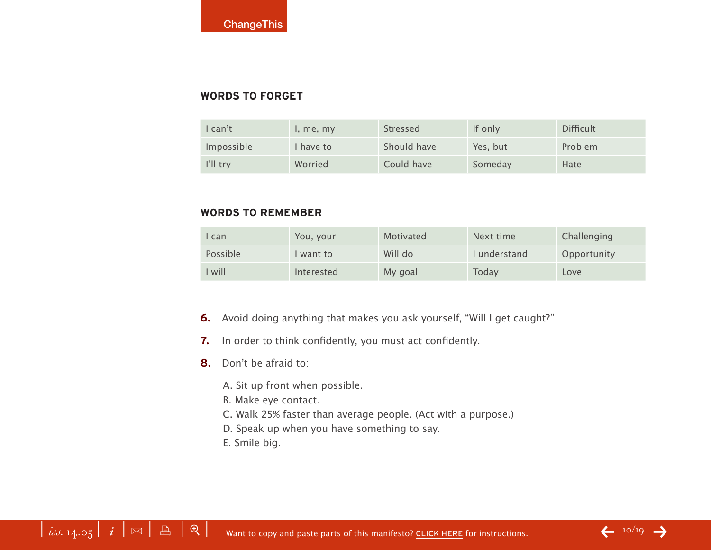### **WORDS TO FORGET**

| can't             | I, me, my | <b>Stressed</b> | If only  | <b>Difficult</b> |
|-------------------|-----------|-----------------|----------|------------------|
| Impossible        | I have to | Should have     | Yes, but | Problem          |
| $\  \cdot \ $ try | Worried   | Could have      | Someday  | Hate             |

## **WORDS TO REMEMBER**

| I can    | You, your  | Motivated | Next time   | Challenging |
|----------|------------|-----------|-------------|-------------|
| Possible | want to    | Will do   | Lunderstand | Opportunity |
| I will   | Interested | My goal   | Today       | Love        |

- **6.** Avoid doing anything that makes you ask yourself, "Will I get caught?"
- **7.** In order to think confidently, you must act confidently.
- **8.** Don't be afraid to:
	- A. Sit up front when possible.
	- B. Make eye contact.
	- C. Walk 25% faster than average people. (Act with a purpose.)
	- D. Speak up when you have something to say.
	- E. Smile big.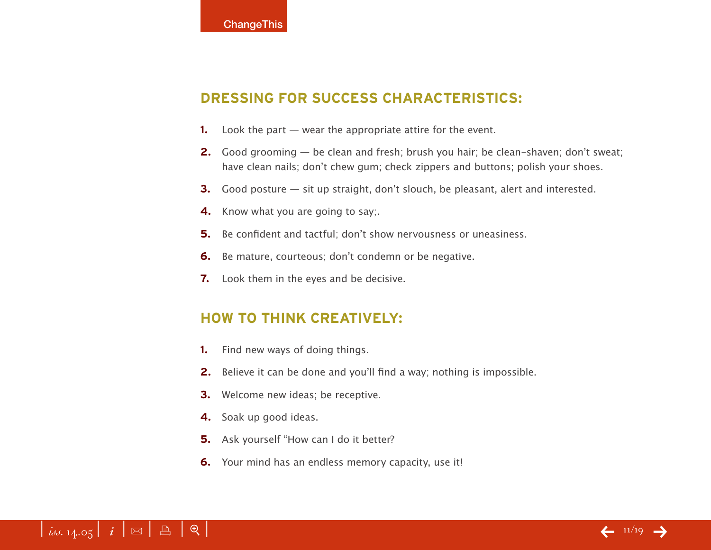# **DRESSING FOR SUCCESS CHARACTERISTICS:**

- **1.** Look the part wear the appropriate attire for the event.
- **2.** Good grooming be clean and fresh; brush you hair; be clean-shaven; don't sweat; have clean nails; don't chew gum; check zippers and buttons; polish your shoes.
- **3.** Good posture sit up straight, don't slouch, be pleasant, alert and interested.
- **4.** Know what you are going to say:
- **5.** Be confident and tactful; don't show nervousness or uneasiness.
- **6.** Be mature, courteous; don't condemn or be negative.
- **7.** Look them in the eyes and be decisive.

# **HOW TO THINK CREATIVELY:**

- **1.** Find new ways of doing things.
- **2.** Believe it can be done and you'll find a way; nothing is impossible.
- **3.** Welcome new ideas; be receptive.
- **4.** Soak up good ideas.
- **5.** Ask yourself "How can I do it better?
- **6.** Your mind has an endless memory capacity, use it!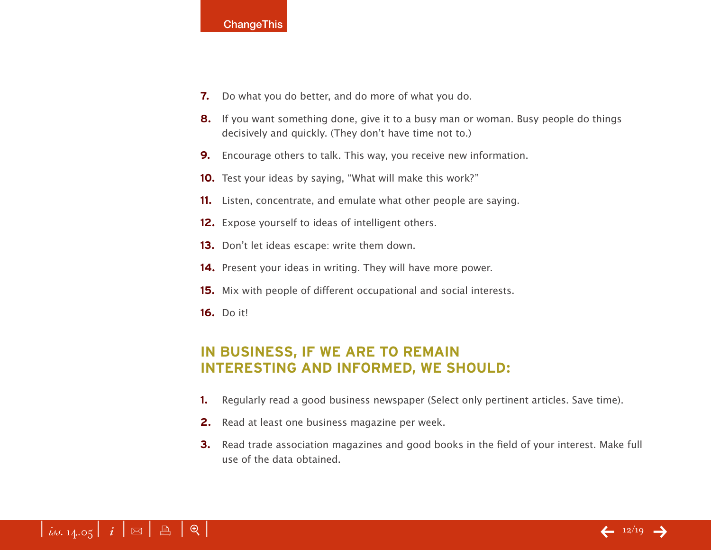- **7.** Do what you do better, and do more of what you do.
- **8.** If you want something done, give it to a busy man or woman. Busy people do things decisively and quickly. (They don't have time not to.)
- **9.** Encourage others to talk. This way, you receive new information.
- **10.** Test your ideas by saying, "What will make this work?"
- **11.** Listen, concentrate, and emulate what other people are saying.
- **12.** Expose yourself to ideas of intelligent others.
- **13.** Don't let ideas escape: write them down.
- **14.** Present your ideas in writing. They will have more power.
- **15.** Mix with people of different occupational and social interests.
- **16.** Do it!

# **IN BUSINESS, IF WE ARE TO REMAIN INTERESTING AND INFORMED, WE SHOULD:**

- **1.** Regularly read a good business newspaper (Select only pertinent articles. Save time).
- **2.** Read at least one business magazine per week.
- **3.** Read trade association magazines and good books in the field of your interest. Make full use of the data obtained.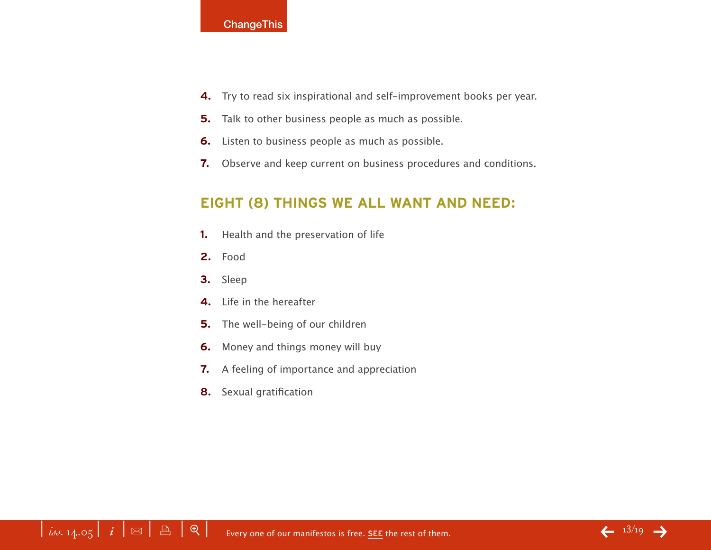- **4.** Try to read six inspirational and self-improvement books per year.
- **5.** Talk to other business people as much as possible.
- **6.** Listen to business people as much as possible.
- **7.** Observe and keep current on business procedures and conditions.

# **EIGHT (8) THINGS WE ALL WANT AND NEED:**

- **1.** Health and the preservation of life
- **2.** Food
- **3.** Sleep
- **4.** Life in the hereafter
- **5.** The well-being of our children
- **6.** Money and things money will buy
- **7.** A feeling of importance and appreciation
- **8.** Sexual gratification

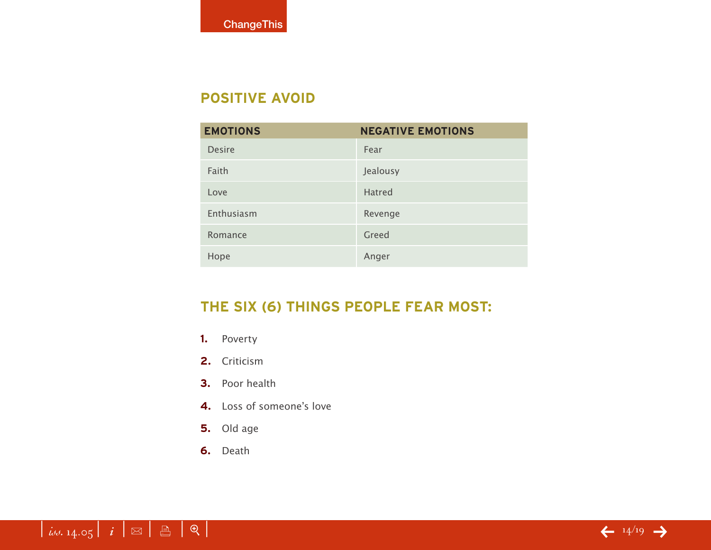# **POSITIVE AVOID**

| <b>EMOTIONS</b> | <b>NEGATIVE EMOTIONS</b> |
|-----------------|--------------------------|
| <b>Desire</b>   | Fear                     |
| Faith           | Jealousy                 |
| Love            | <b>Hatred</b>            |
| Enthusiasm      | Revenge                  |
| Romance         | Greed                    |
| Hope            | Anger                    |

# **THE SIX (6) THINGS PEOPLE FEAR MOST:**

- **1.** Poverty
- **2.** Criticism
- **3.** Poor health
- **4.** Loss of someone's love
- **5.** Old age
- **6.** Death

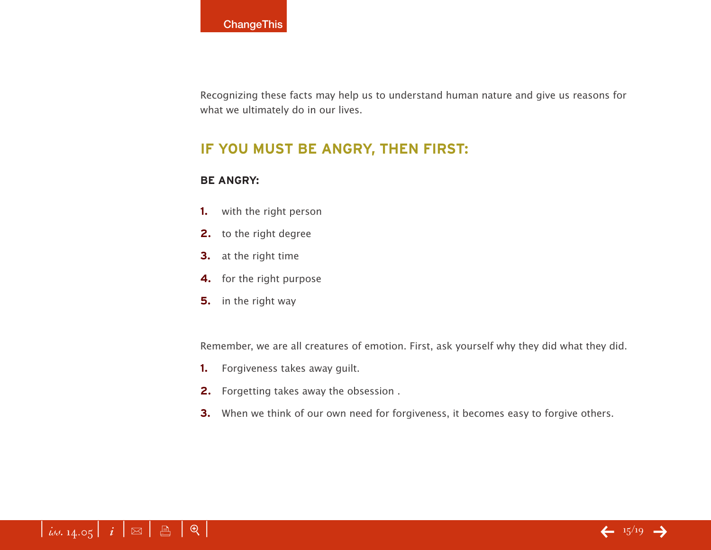Recognizing these facts may help us to understand human nature and give us reasons for what we ultimately do in our lives.

# **IF YOU MUST BE ANGRY, THEN FIRST:**

### **BE ANGRY:**

- **1.** with the right person
- **2.** to the right degree
- **3.** at the right time
- **4.** for the right purpose
- **5.** in the right way

Remember, we are all creatures of emotion. First, ask yourself why they did what they did.

- **1.** Forgiveness takes away guilt.
- **2.** Forgetting takes away the obsession .
- **3.** When we think of our own need for forgiveness, it becomes easy to forgive others.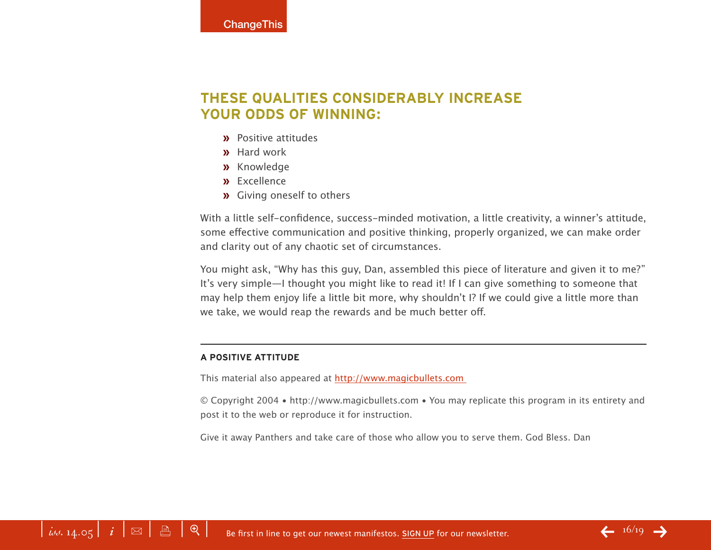# **THESE QUALITIES CONSIDERABLY INCREASE YOUR ODDS OF WINNING:**

- **»** Positive attitudes
- **»** Hard work
- **»** Knowledge
- **»** Excellence
- **»** Giving oneself to others

With a little self-confidence, success-minded motivation, a little creativity, a winner's attitude, some effective communication and positive thinking, properly organized, we can make order and clarity out of any chaotic set of circumstances.

You might ask, "Why has this guy, Dan, assembled this piece of literature and given it to me?" It's very simple—I thought you might like to read it! If I can give something to someone that may help them enjoy life a little bit more, why shouldn't I? If we could give a little more than we take, we would reap the rewards and be much better off.

#### **A POSITIVE ATTITUDE**

This material also appeared at <http://www.magicbullets.com>

© Copyright 2004 • <http://www.magicbullets.com> • You may replicate this program in its entirety and post it to the web or reproduce it for instruction.

Give it away Panthers and take care of those who allow you to serve them. God Bless. Dan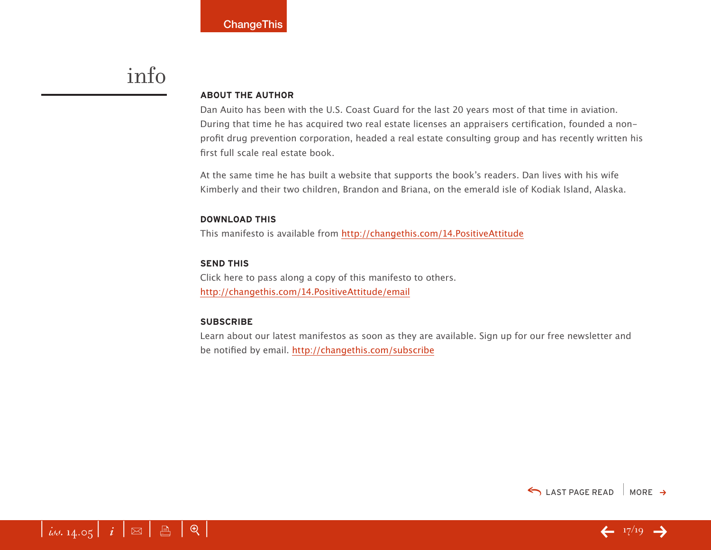# info

#### **ABOUT THE AUTHOR**

Dan Auito has been with the U.S. Coast Guard for the last 20 years most of that time in aviation. During that time he has acquired two real estate licenses an appraisers certification, founded a nonprofit drug prevention corporation, headed a real estate consulting group and has recently written his first full scale real estate book.

At the same time he has built a website that supports the book's readers. Dan lives with his wife Kimberly and their two children, Brandon and Briana, on the emerald isle of Kodiak Island, Alaska.

#### **DOWNLOAD THIS**

This manifesto is available from<http://changethis.com/14.PositiveAttitude>

#### **SEND THIS**

Click here to pass along a copy of this manifesto to others. <http://changethis.com/14.PositiveAttitude/email>

#### **SUBSCRIBE**

Learn about our latest manifestos as soon as they are available. Sign up for our free newsletter and be notified by email.<http://changethis.com/subscribe>





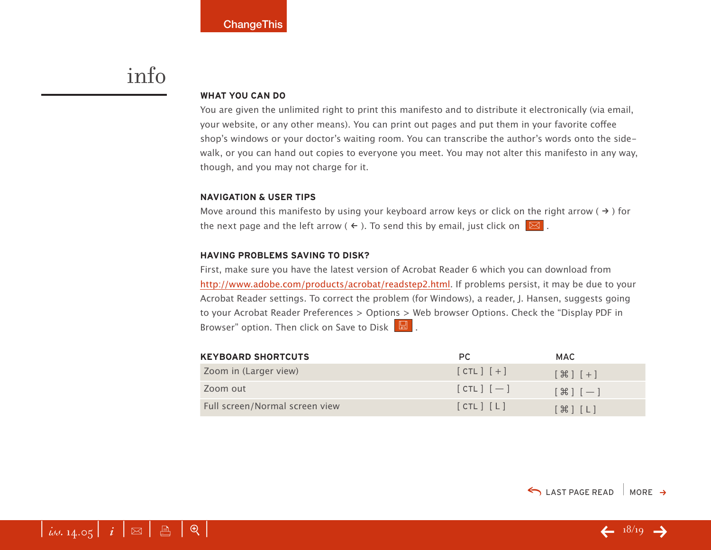# info

#### **WHAT YOU CAN DO**

You are given the unlimited right to print this manifesto and to distribute it electronically (via email, your website, or any other means). You can print out pages and put them in your favorite coffee shop's windows or your doctor's waiting room. You can transcribe the author's words onto the sidewalk, or you can hand out copies to everyone you meet. You may not alter this manifesto in any way, though, and you may not charge for it.

#### **NAVIGATION & USER TIPS**

Move around this manifesto by using your keyboard arrow keys or click on the right arrow ( $\rightarrow$ ) for the next page and the left arrow (  $\leftarrow$  ). To send this by email, just click on  $\boxed{\boxtimes}$  .

#### **HAVING PROBLEMS SAVING TO DISK?**

First, make sure you have the latest version of Acrobat Reader 6 which you can download from [http://www.adobe.com/products/acrobat/readstep2.html.](http://www.adobe.com/products/acrobat/readstep2.html) If problems persist, it may be due to your Acrobat Reader settings. To correct the problem (for Windows), a reader, J. Hansen, suggests going to your Acrobat Reader Preferences > Options > Web browser Options. Check the "Display PDF in Browser" option. Then click on Save to Disk  $\boxed{\boxtimes}$ .

| <b>KEYBOARD SHORTCUTS</b>      | PC.          | <b>MAC</b>                                 |
|--------------------------------|--------------|--------------------------------------------|
| Zoom in (Larger view)          | $[CL]$ $[+]$ | $[\mathcal{H}]$ $[+]$                      |
| Zoom out                       | $[CH]$ $[-]$ | $[\mathcal{H}]$ $[-]$                      |
| Full screen/Normal screen view | [CIL] [L]    | $[$ $\mathcal{H}$ $]$ $[$ $\mathsf{L}$ $]$ |